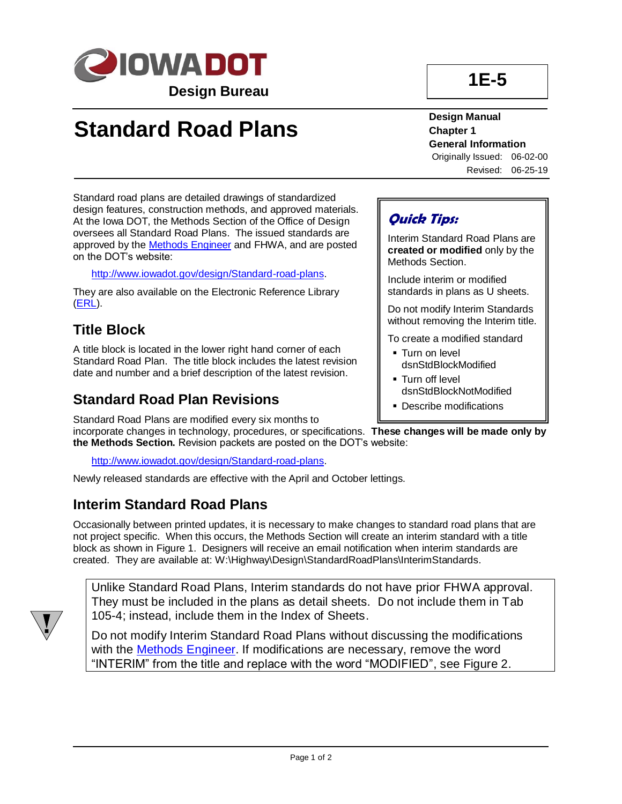

# **Standard Road Plans**

**Design Manual Chapter 1 General Information**

Originally Issued: 06-02-00 Revised: 06-25-19

Standard road plans are detailed drawings of standardized design features, construction methods, and approved materials. At the Iowa DOT, the Methods Section of the Office of Design oversees all Standard Road Plans. The issued standards are approved by the [Methods Engineer](01B-02/MethodsEngineer.pdf) and FHWA, and are posted on the DOT's website:

[http://www.iowadot.gov/design/Standard-road-plans.](../Standard-road-plans)

They are also available on the Electronic Reference Library [\(ERL\)](../../erl/index.html).

### **Title Block**

A title block is located in the lower right hand corner of each Standard Road Plan. The title block includes the latest revision date and number and a brief description of the latest revision.

#### **Standard Road Plan Revisions**

Standard Road Plans are modified every six months to incorporate changes in technology, procedures, or specifications. **These changes will be made only by the Methods Section.** Revision packets are posted on the DOT's website:

[http://www.iowadot.gov/design/Standard-road-plans.](../Standard-road-plans)

Newly released standards are effective with the April and October lettings.

#### **Interim Standard Road Plans**

Occasionally between printed updates, it is necessary to make changes to standard road plans that are not project specific. When this occurs, the Methods Section will create an interim standard with a title block as shown in Figure 1. Designers will receive an email notification when interim standards are created. They are available at: W:\Highway\Design\StandardRoadPlans\InterimStandards.



Unlike Standard Road Plans, Interim standards do not have prior FHWA approval. They must be included in the plans as detail sheets. Do not include them in Tab 105-4; instead, include them in the Index of Sheets.

Do not modify Interim Standard Road Plans without discussing the modifications with the [Methods Engineer.](01B-02/MethodsEngineer.pdf) If modifications are necessary, remove the word "INTERIM" from the title and replace with the word "MODIFIED", see Figure 2.

#### **Quick Tips:**

Interim Standard Road Plans are **created or modified** only by the Methods Section.

Include interim or modified standards in plans as U sheets.

Do not modify Interim Standards without removing the Interim title.

To create a modified standard

- **Turn on level** dsnStdBlockModified
- **Turn off level** dsnStdBlockNotModified
- Describe modifications

**1E-5**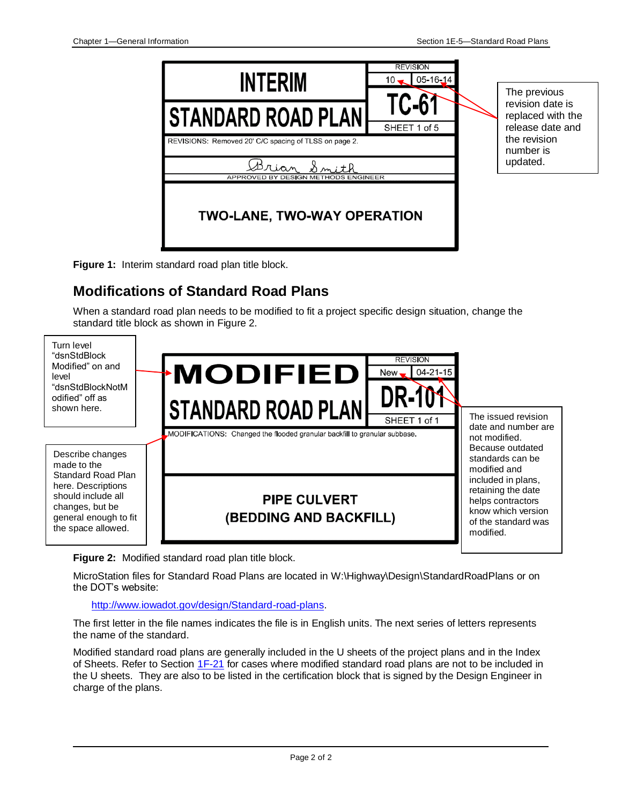

**Figure 1:** Interim standard road plan title block.

### **Modifications of Standard Road Plans**

When a standard road plan needs to be modified to fit a project specific design situation, change the standard title block as shown in Figure 2.



**Figure 2:** Modified standard road plan title block.

MicroStation files for Standard Road Plans are located in [W:\Highway\Design\StandardRoadPlans](//ntdfs/(W)DataStor/Highway/Design/StandardRoadPlans) or on the DOT's website:

[http://www.iowadot.gov/design/Standard-road-plans.](../Standard-road-plans)

The first letter in the file names indicates the file is in English units. The next series of letters represents the name of the standard.

Modified standard road plans are generally included in the U sheets of the project plans and in the Index of Sheets. Refer to Section [1F-21](01F-21.pdf) for cases where modified standard road plans are not to be included in the U sheets. They are also to be listed in the certification block that is signed by the Design Engineer in charge of the plans.